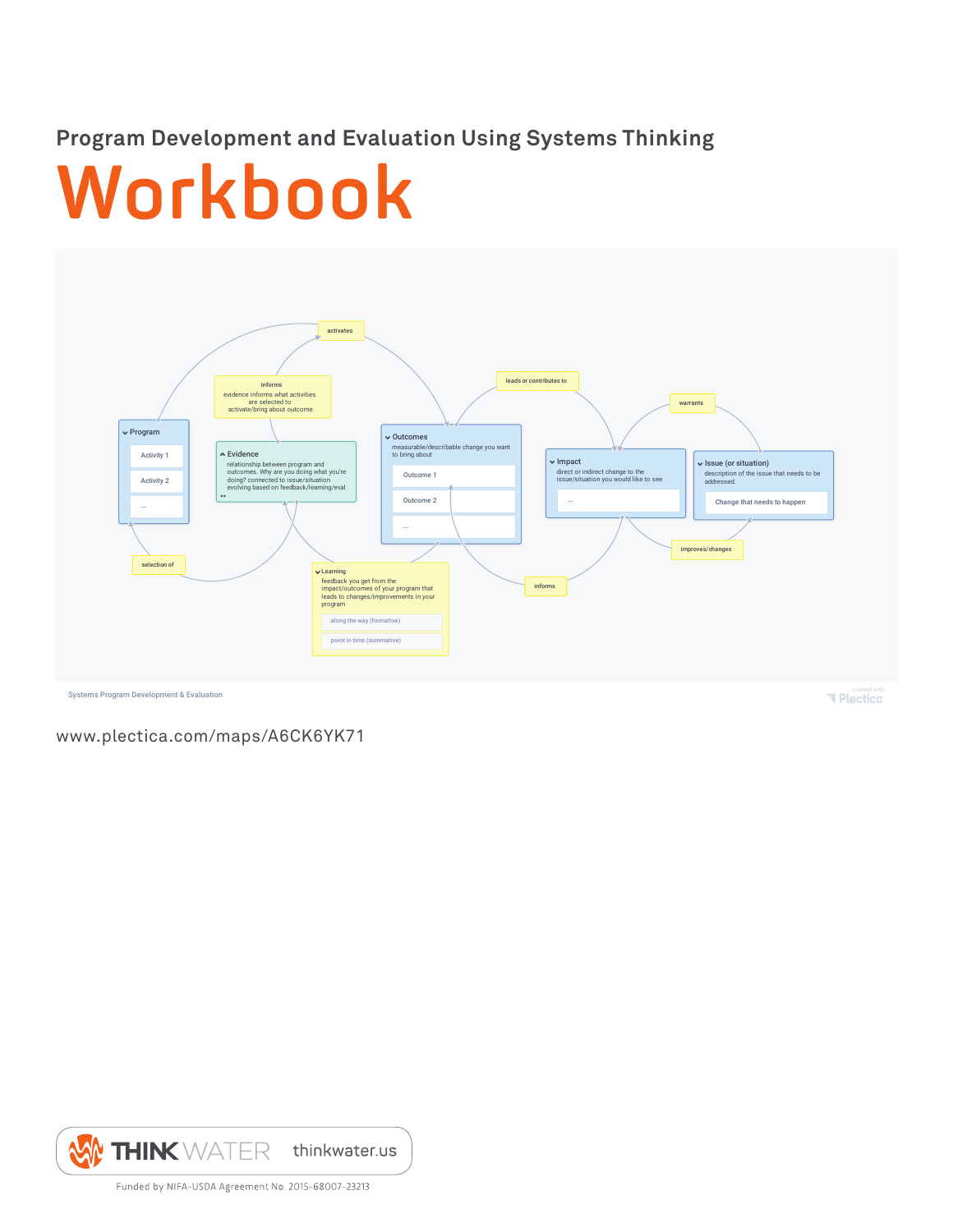# **Program Development and Evaluation Using Systems Thinking**

# **Workbook**



www.plectica.com/maps/A6CK6YK71

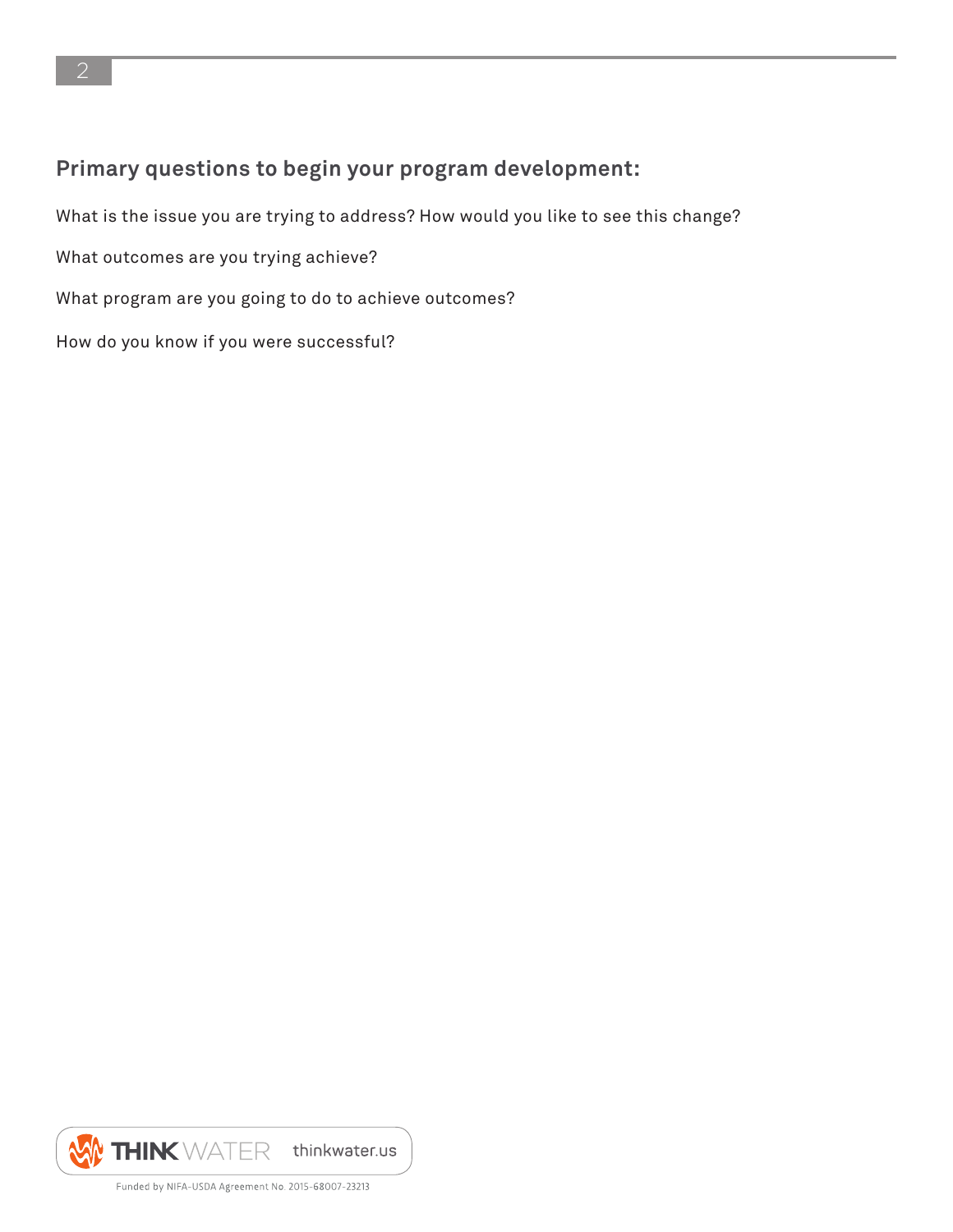## **Primary questions to begin your program development:**

What is the issue you are trying to address? How would you like to see this change?

What outcomes are you trying achieve?

What program are you going to do to achieve outcomes?

How do you know if you were successful?

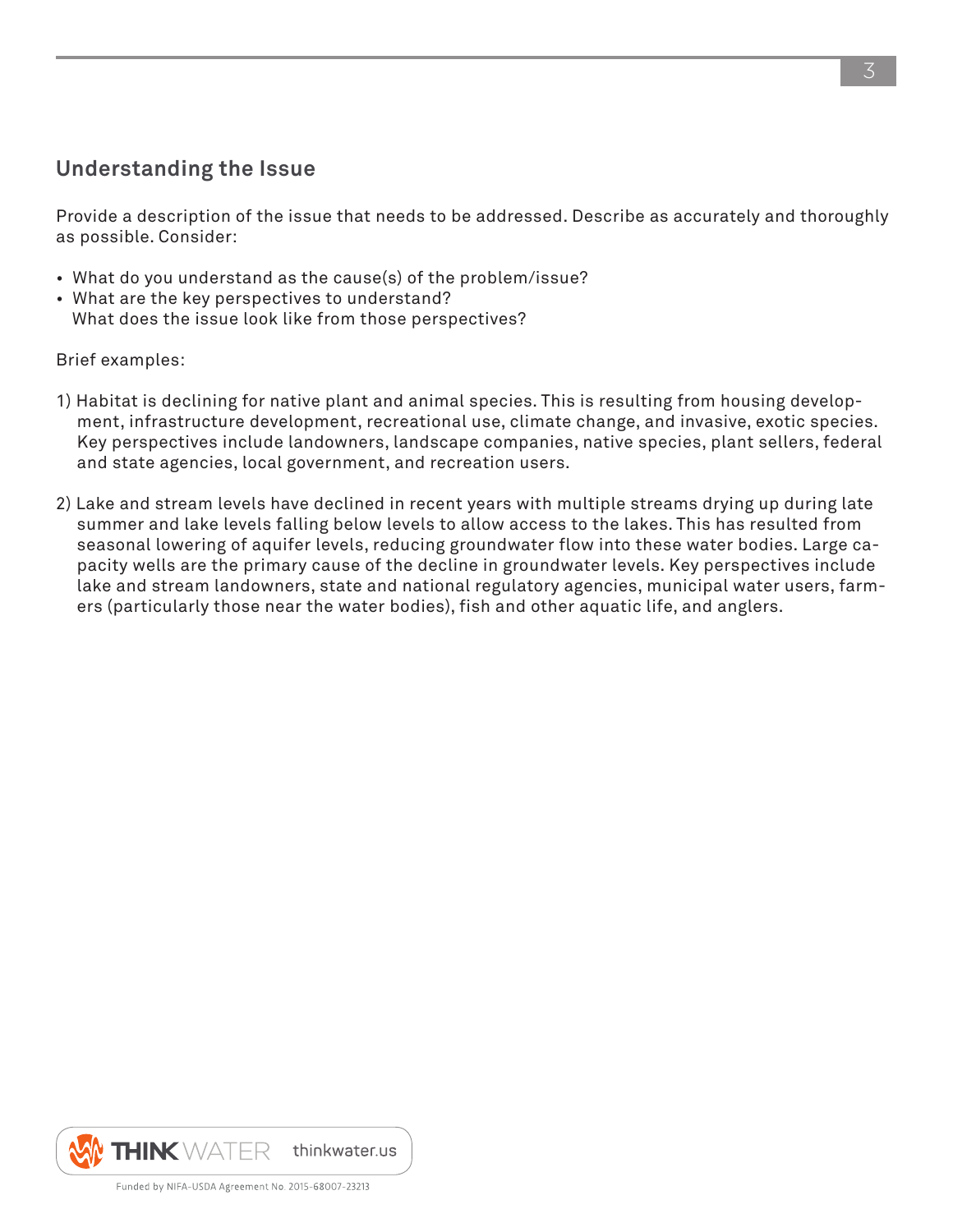#### **Understanding the Issue**

Provide a description of the issue that needs to be addressed. Describe as accurately and thoroughly as possible. Consider:

- What do you understand as the cause(s) of the problem/issue?
- What are the key perspectives to understand? What does the issue look like from those perspectives?

Brief examples:

- 1) Habitat is declining for native plant and animal species. This is resulting from housing development, infrastructure development, recreational use, climate change, and invasive, exotic species. Key perspectives include landowners, landscape companies, native species, plant sellers, federal and state agencies, local government, and recreation users.
- 2) Lake and stream levels have declined in recent years with multiple streams drying up during late summer and lake levels falling below levels to allow access to the lakes. This has resulted from seasonal lowering of aquifer levels, reducing groundwater flow into these water bodies. Large capacity wells are the primary cause of the decline in groundwater levels. Key perspectives include lake and stream landowners, state and national regulatory agencies, municipal water users, farmers (particularly those near the water bodies), fish and other aquatic life, and anglers.

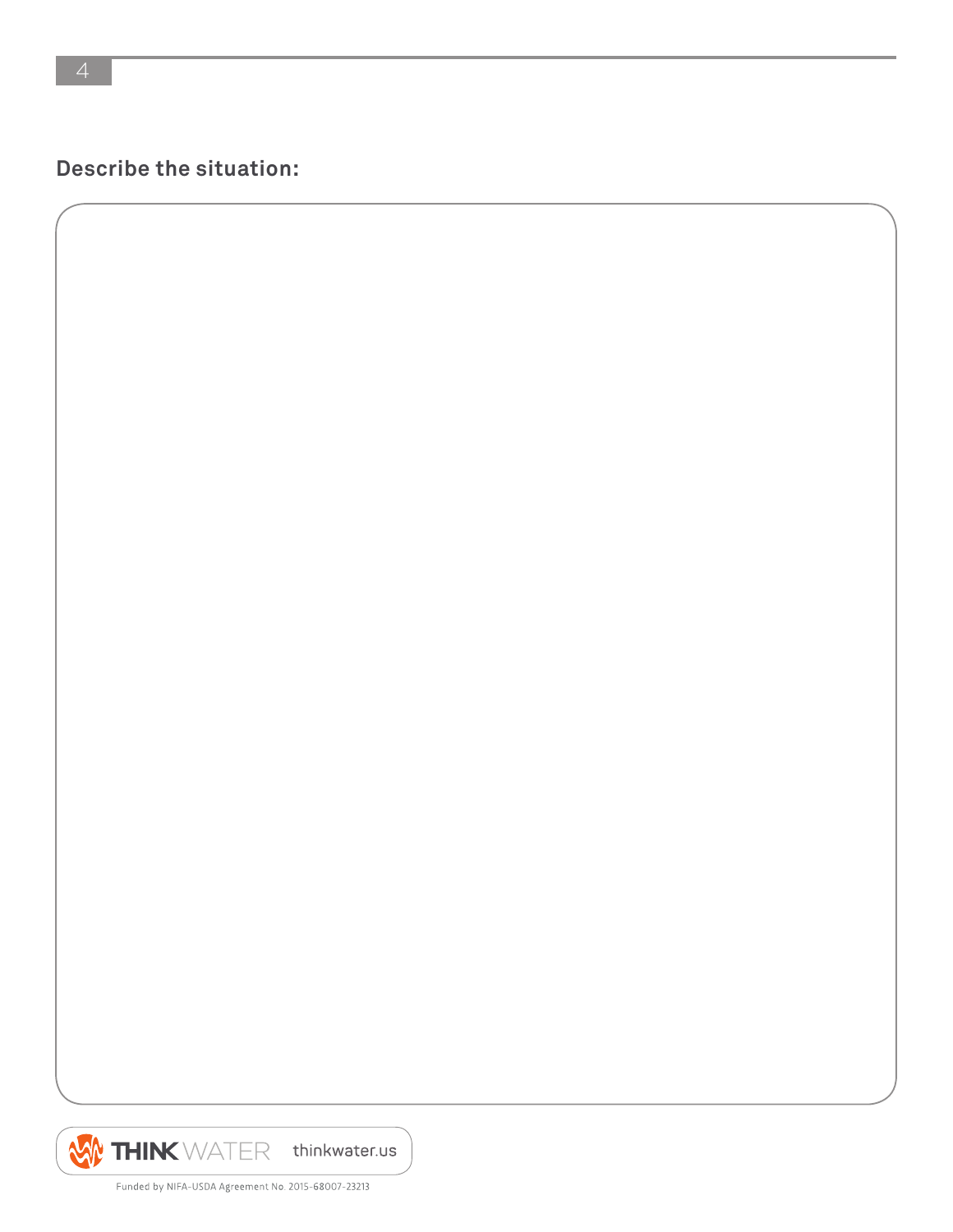**Describe the situation:**

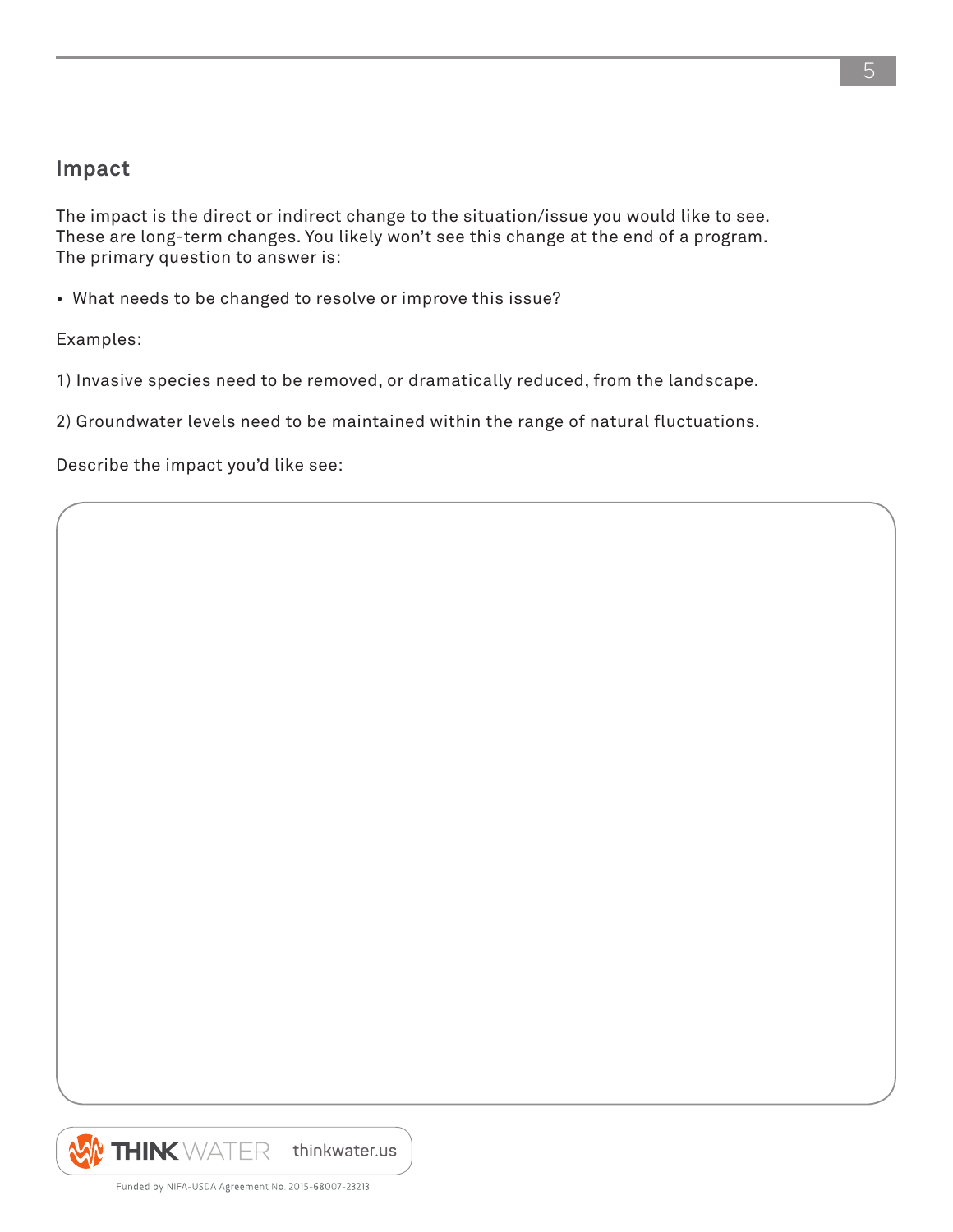#### **Impact**

The impact is the direct or indirect change to the situation/issue you would like to see. These are long-term changes. You likely won't see this change at the end of a program. The primary question to answer is:

• What needs to be changed to resolve or improve this issue?

Examples:

1) Invasive species need to be removed, or dramatically reduced, from the landscape.

2) Groundwater levels need to be maintained within the range of natural fluctuations.

Describe the impact you'd like see:



5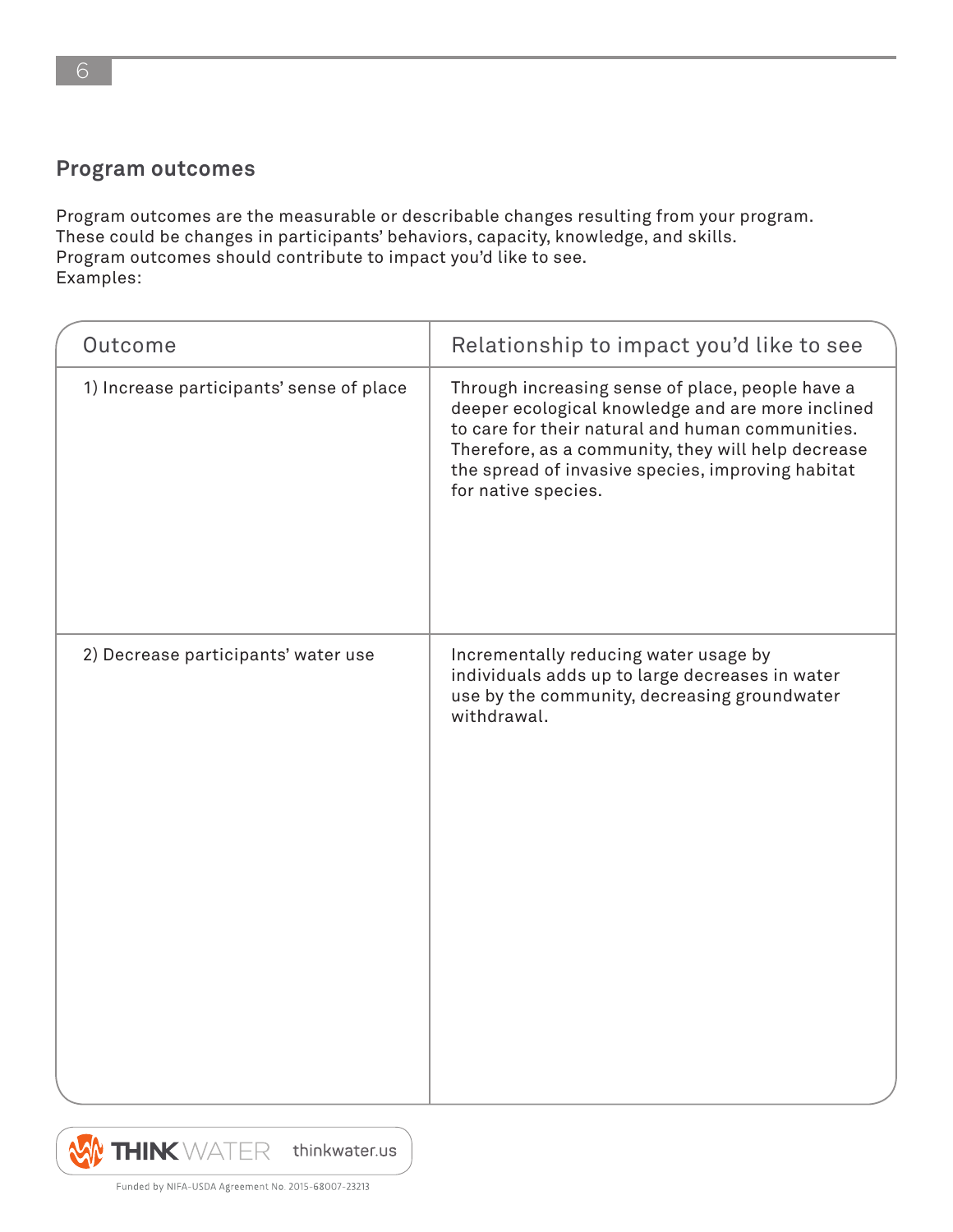#### **Program outcomes**

Program outcomes are the measurable or describable changes resulting from your program. These could be changes in participants' behaviors, capacity, knowledge, and skills. Program outcomes should contribute to impact you'd like to see. Examples:

| Outcome                                  | Relationship to impact you'd like to see                                                                                                                                                                                                                                                    |
|------------------------------------------|---------------------------------------------------------------------------------------------------------------------------------------------------------------------------------------------------------------------------------------------------------------------------------------------|
| 1) Increase participants' sense of place | Through increasing sense of place, people have a<br>deeper ecological knowledge and are more inclined<br>to care for their natural and human communities.<br>Therefore, as a community, they will help decrease<br>the spread of invasive species, improving habitat<br>for native species. |
| 2) Decrease participants' water use      | Incrementally reducing water usage by<br>individuals adds up to large decreases in water<br>use by the community, decreasing groundwater<br>withdrawal.                                                                                                                                     |



Funded by NIFA-USDA Agreement No. 2015-68007-23213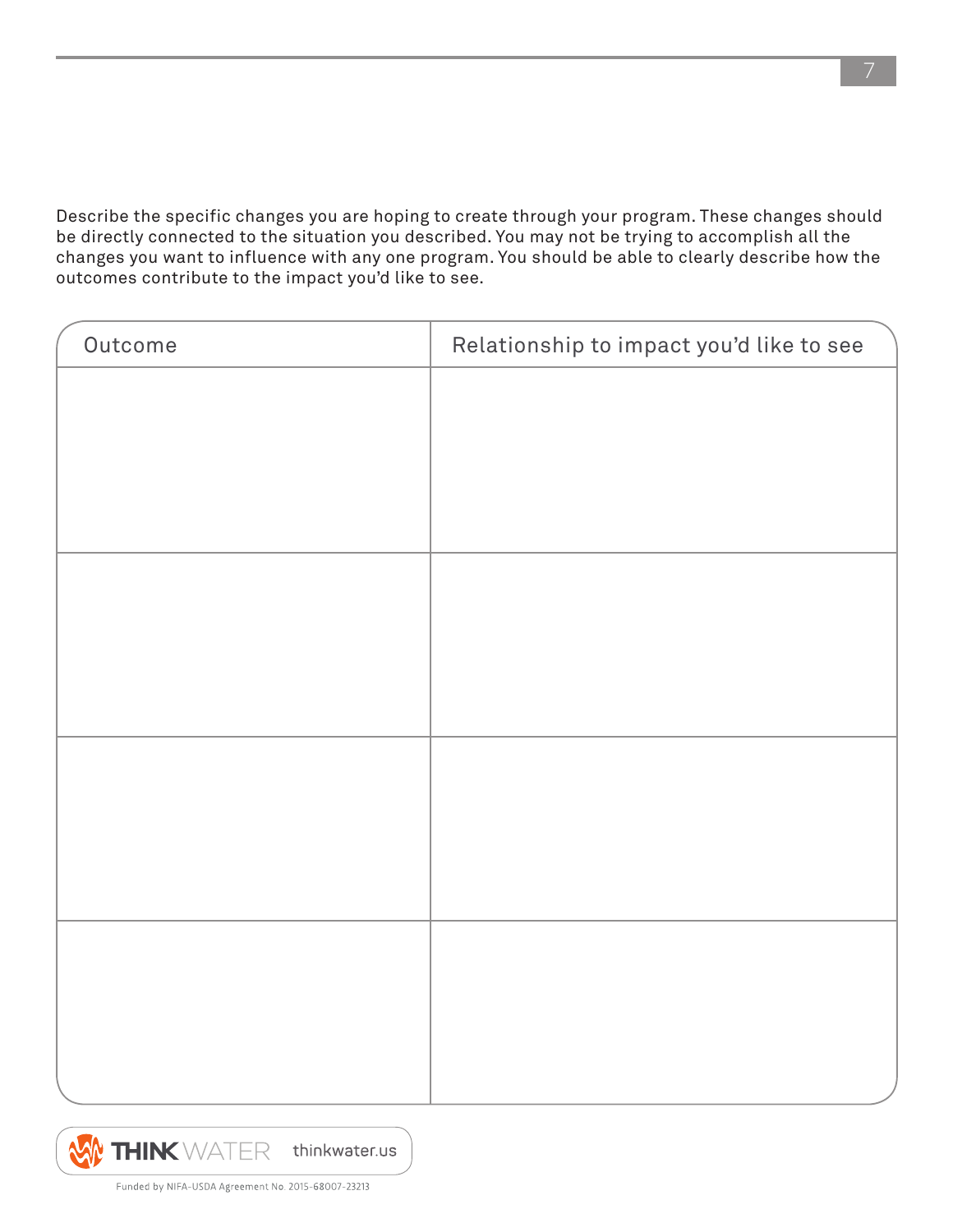Describe the specific changes you are hoping to create through your program. These changes should be directly connected to the situation you described. You may not be trying to accomplish all the changes you want to influence with any one program. You should be able to clearly describe how the outcomes contribute to the impact you'd like to see.

| Outcome | Relationship to impact you'd like to see |
|---------|------------------------------------------|
|         |                                          |
|         |                                          |
|         |                                          |
|         |                                          |
|         |                                          |
|         |                                          |
|         |                                          |
|         |                                          |
|         |                                          |
|         |                                          |
|         |                                          |
|         |                                          |
|         |                                          |
|         |                                          |
|         |                                          |
|         |                                          |



Funded by NIFA-USDA Agreement No. 2015-68007-23213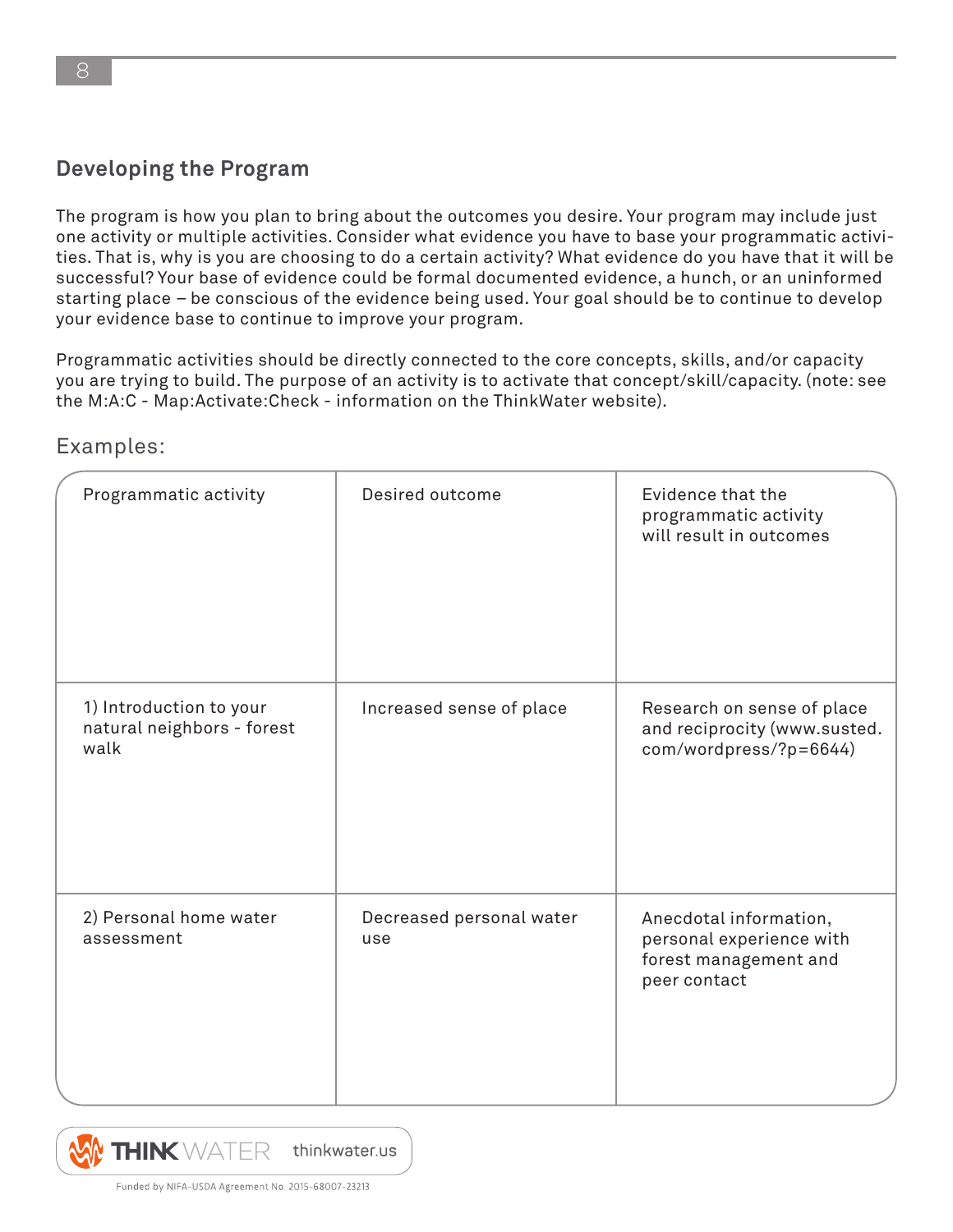#### **Developing the Program**

The program is how you plan to bring about the outcomes you desire. Your program may include just one activity or multiple activities. Consider what evidence you have to base your programmatic activities. That is, why is you are choosing to do a certain activity? What evidence do you have that it will be successful? Your base of evidence could be formal documented evidence, a hunch, or an uninformed starting place – be conscious of the evidence being used. Your goal should be to continue to develop your evidence base to continue to improve your program.

Programmatic activities should be directly connected to the core concepts, skills, and/or capacity you are trying to build. The purpose of an activity is to activate that concept/skill/capacity. (note: see the M:A:C - Map:Activate:Check - information on the ThinkWater website).

| Programmatic activity                                         | Desired outcome                 | Evidence that the<br>programmatic activity<br>will result in outcomes                       |
|---------------------------------------------------------------|---------------------------------|---------------------------------------------------------------------------------------------|
| 1) Introduction to your<br>natural neighbors - forest<br>walk | Increased sense of place        | Research on sense of place<br>and reciprocity (www.susted.<br>com/wordpress/?p=6644)        |
| 2) Personal home water<br>assessment                          | Decreased personal water<br>use | Anecdotal information,<br>personal experience with<br>forest management and<br>peer contact |

Examples:

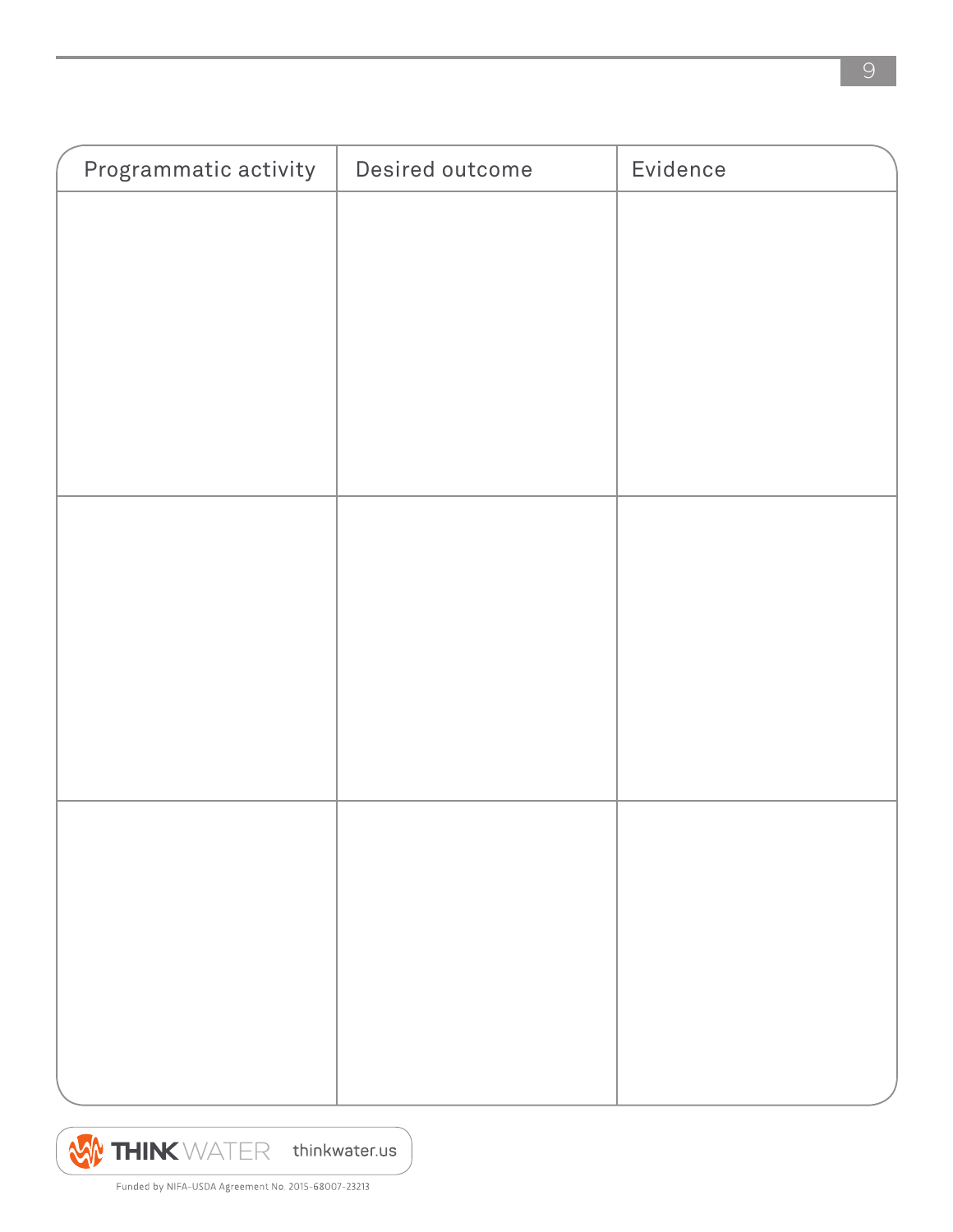

Funded by NIFA-USDA Agreement No. 2015-68007-23213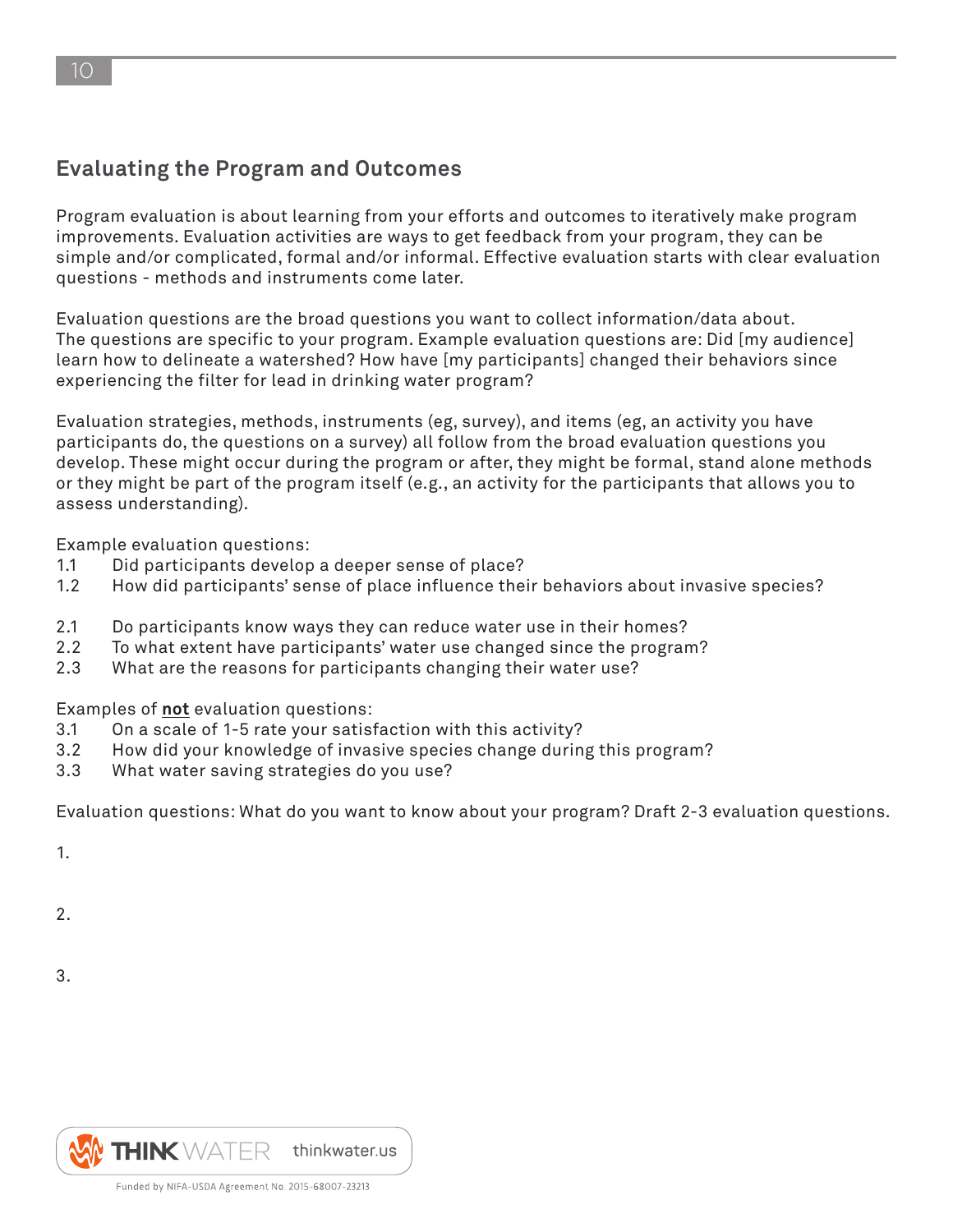# **Evaluating the Program and Outcomes**

Program evaluation is about learning from your efforts and outcomes to iteratively make program improvements. Evaluation activities are ways to get feedback from your program, they can be simple and/or complicated, formal and/or informal. Effective evaluation starts with clear evaluation questions - methods and instruments come later.

Evaluation questions are the broad questions you want to collect information/data about. The questions are specific to your program. Example evaluation questions are: Did [my audience] learn how to delineate a watershed? How have [my participants] changed their behaviors since experiencing the filter for lead in drinking water program?

Evaluation strategies, methods, instruments (eg, survey), and items (eg, an activity you have participants do, the questions on a survey) all follow from the broad evaluation questions you develop. These might occur during the program or after, they might be formal, stand alone methods or they might be part of the program itself (e.g., an activity for the participants that allows you to assess understanding).

Example evaluation questions:

- 1.1 Did participants develop a deeper sense of place?
- 1.2 How did participants' sense of place influence their behaviors about invasive species?
- 2.1 Do participants know ways they can reduce water use in their homes?
- 2.2 To what extent have participants' water use changed since the program?
- 2.3 What are the reasons for participants changing their water use?

Examples of **not** evaluation questions:

- 3.1 On a scale of 1-5 rate your satisfaction with this activity?
- 3.2 How did your knowledge of invasive species change during this program?
- 3.3 What water saving strategies do you use?

Evaluation questions: What do you want to know about your program? Draft 2-3 evaluation questions.

1.

2.

3.

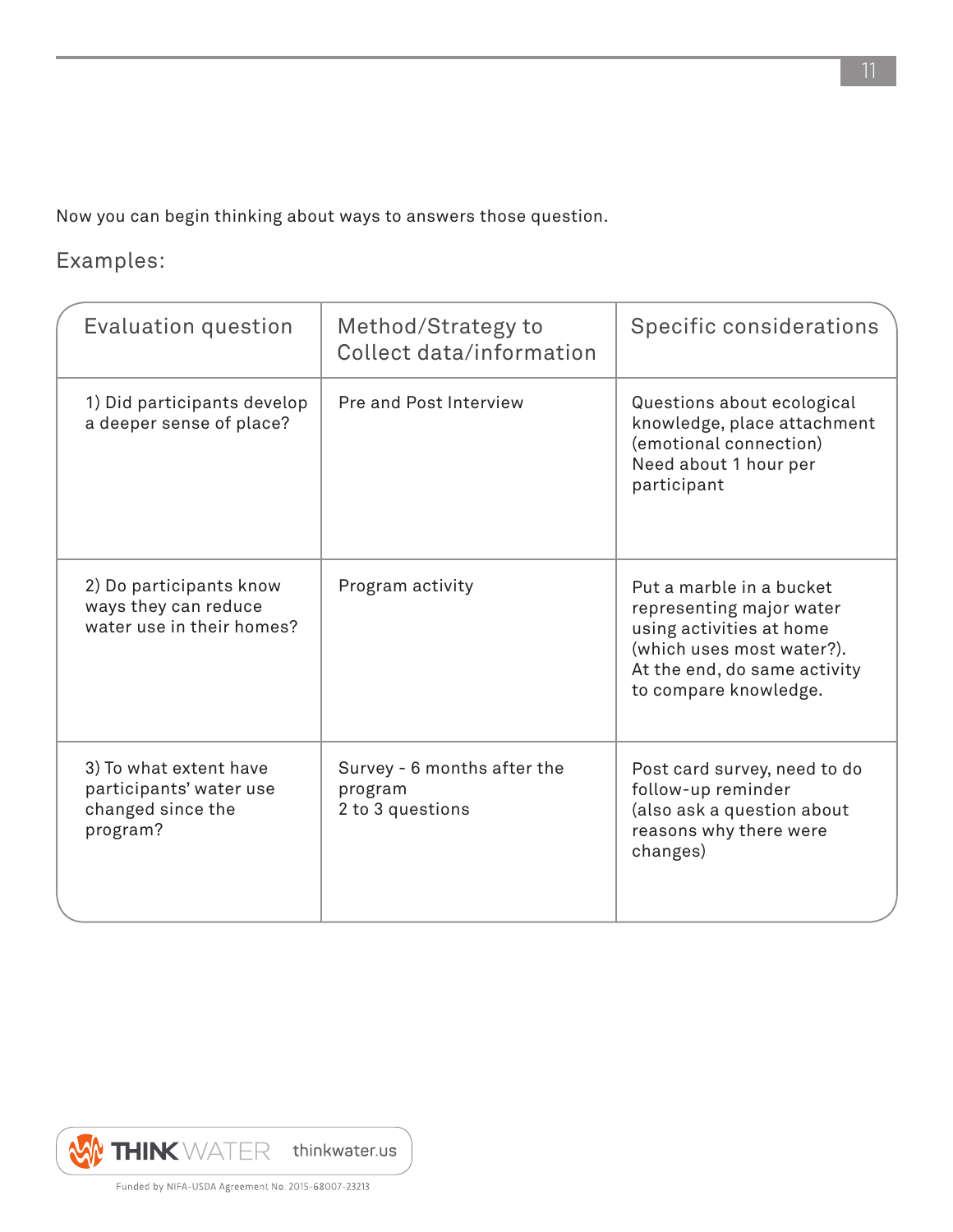Now you can begin thinking about ways to answers those question.

# Examples:

| <b>Evaluation question</b>                                                         | Method/Strategy to<br>Collect data/information             | Specific considerations                                                                                                                                                |
|------------------------------------------------------------------------------------|------------------------------------------------------------|------------------------------------------------------------------------------------------------------------------------------------------------------------------------|
| 1) Did participants develop<br>a deeper sense of place?                            | Pre and Post Interview                                     | Questions about ecological<br>knowledge, place attachment<br>(emotional connection)<br>Need about 1 hour per<br>participant                                            |
| 2) Do participants know<br>ways they can reduce<br>water use in their homes?       | Program activity                                           | Put a marble in a bucket<br>representing major water<br>using activities at home<br>(which uses most water?).<br>At the end, do same activity<br>to compare knowledge. |
| 3) To what extent have<br>participants' water use<br>changed since the<br>program? | Survey - 6 months after the<br>program<br>2 to 3 questions | Post card survey, need to do<br>follow-up reminder<br>(also ask a question about<br>reasons why there were<br>changes)                                                 |

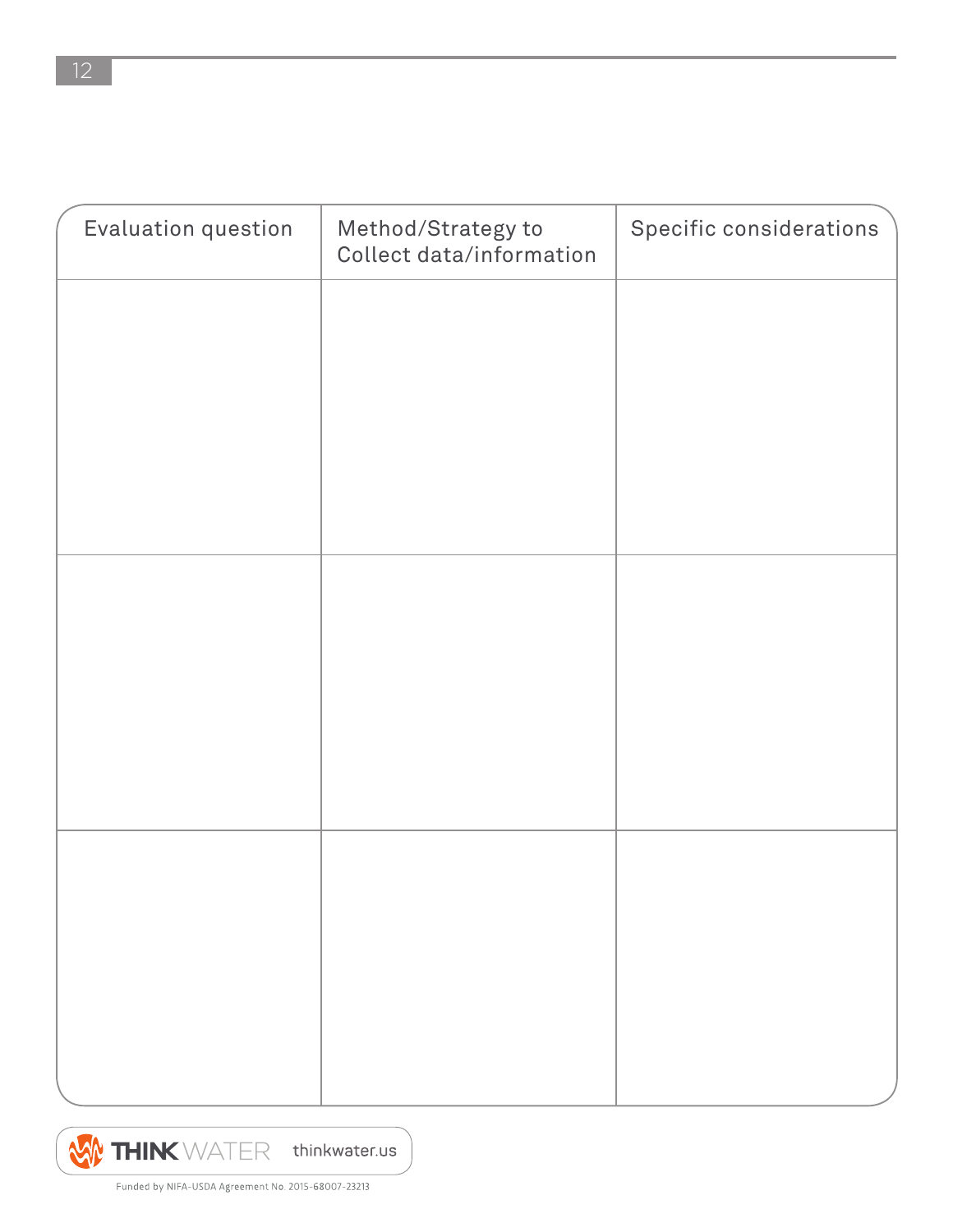| Evaluation question | Method/Strategy to<br>Collect data/information | Specific considerations |
|---------------------|------------------------------------------------|-------------------------|
|                     |                                                |                         |
|                     |                                                |                         |
|                     |                                                |                         |
|                     |                                                |                         |
|                     |                                                |                         |
|                     |                                                |                         |
|                     |                                                |                         |
|                     |                                                |                         |
|                     |                                                |                         |
|                     |                                                |                         |
|                     |                                                |                         |

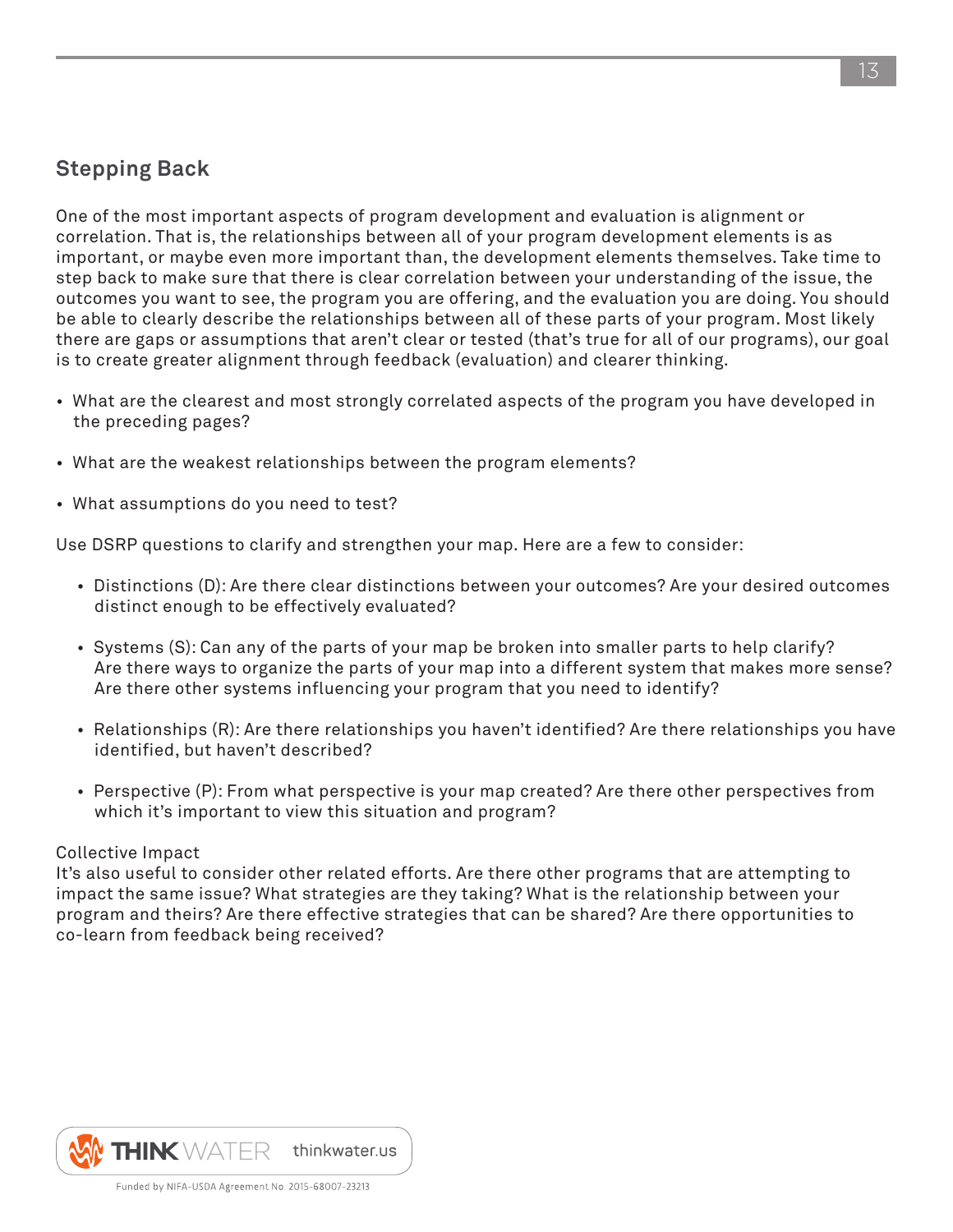### **Stepping Back**

One of the most important aspects of program development and evaluation is alignment or correlation. That is, the relationships between all of your program development elements is as important, or maybe even more important than, the development elements themselves. Take time to step back to make sure that there is clear correlation between your understanding of the issue, the outcomes you want to see, the program you are offering, and the evaluation you are doing. You should be able to clearly describe the relationships between all of these parts of your program. Most likely there are gaps or assumptions that aren't clear or tested (that's true for all of our programs), our goal is to create greater alignment through feedback (evaluation) and clearer thinking.

- What are the clearest and most strongly correlated aspects of the program you have developed in the preceding pages?
- What are the weakest relationships between the program elements?
- What assumptions do you need to test?

Use DSRP questions to clarify and strengthen your map. Here are a few to consider:

- Distinctions (D): Are there clear distinctions between your outcomes? Are your desired outcomes distinct enough to be effectively evaluated?
- Systems (S): Can any of the parts of your map be broken into smaller parts to help clarify? Are there ways to organize the parts of your map into a different system that makes more sense? Are there other systems influencing your program that you need to identify?
- Relationships (R): Are there relationships you haven't identified? Are there relationships you have identified, but haven't described?
- Perspective (P): From what perspective is your map created? Are there other perspectives from which it's important to view this situation and program?

#### Collective Impact

It's also useful to consider other related efforts. Are there other programs that are attempting to impact the same issue? What strategies are they taking? What is the relationship between your program and theirs? Are there effective strategies that can be shared? Are there opportunities to co-learn from feedback being received?